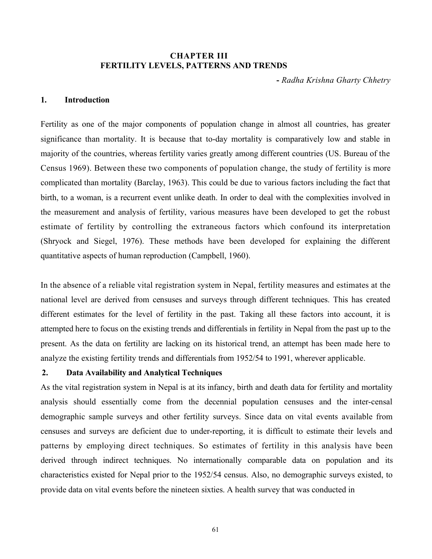### CHAPTER III FERTILITY LEVELS, PATTERNS AND TRENDS

- Radha Krishna Gharty Chhetry

#### 1. Introduction

Fertility as one of the major components of population change in almost all countries, has greater significance than mortality. It is because that to-day mortality is comparatively low and stable in majority of the countries, whereas fertility varies greatly among different countries (US. Bureau of the Census 1969). Between these two components of population change, the study of fertility is more complicated than mortality (Barclay, 1963). This could be due to various factors including the fact that birth, to a woman, is a recurrent event unlike death. In order to deal with the complexities involved in the measurement and analysis of fertility, various measures have been developed to get the robust estimate of fertility by controlling the extraneous factors which confound its interpretation (Shryock and Siegel, 1976). These methods have been developed for explaining the different quantitative aspects of human reproduction (Campbell, 1960).

In the absence of a reliable vital registration system in Nepal, fertility measures and estimates at the national level are derived from censuses and surveys through different techniques. This has created different estimates for the level of fertility in the past. Taking all these factors into account, it is attempted here to focus on the existing trends and differentials in fertility in Nepal from the past up to the present. As the data on fertility are lacking on its historical trend, an attempt has been made here to analyze the existing fertility trends and differentials from 1952/54 to 1991, wherever applicable.

## 2. Data Availability and Analytical Techniques

As the vital registration system in Nepal is at its infancy, birth and death data for fertility and mortality analysis should essentially come from the decennial population censuses and the inter-censal demographic sample surveys and other fertility surveys. Since data on vital events available from censuses and surveys are deficient due to under-reporting, it is difficult to estimate their levels and patterns by employing direct techniques. So estimates of fertility in this analysis have been derived through indirect techniques. No internationally comparable data on population and its characteristics existed for Nepal prior to the 1952/54 census. Also, no demographic surveys existed, to provide data on vital events before the nineteen sixties. A health survey that was conducted in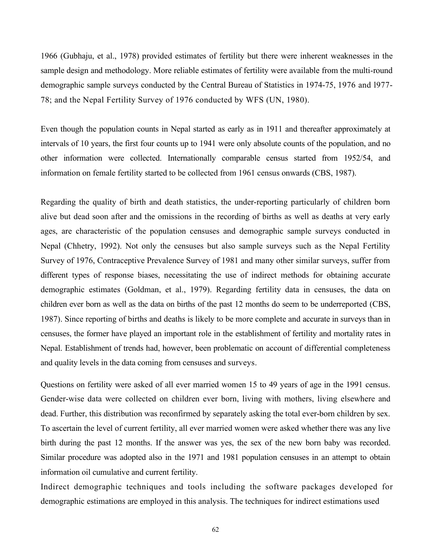1966 (Gubhaju, et al., 1978) provided estimates of fertility but there were inherent weaknesses in the sample design and methodology. More reliable estimates of fertility were available from the multi-round demographic sample surveys conducted by the Central Bureau of Statistics in 1974-75, 1976 and l977- 78; and the Nepal Fertility Survey of 1976 conducted by WFS (UN, 1980).

Even though the population counts in Nepal started as early as in 1911 and thereafter approximately at intervals of 10 years, the first four counts up to 1941 were only absolute counts of the population, and no other information were collected. Internationally comparable census started from 1952/54, and information on female fertility started to be collected from 1961 census onwards (CBS, 1987).

Regarding the quality of birth and death statistics, the under-reporting particularly of children born alive but dead soon after and the omissions in the recording of births as well as deaths at very early ages, are characteristic of the population censuses and demographic sample surveys conducted in Nepal (Chhetry, 1992). Not only the censuses but also sample surveys such as the Nepal Fertility Survey of 1976, Contraceptive Prevalence Survey of 1981 and many other similar surveys, suffer from different types of response biases, necessitating the use of indirect methods for obtaining accurate demographic estimates (Goldman, et al., 1979). Regarding fertility data in censuses, the data on children ever born as well as the data on births of the past 12 months do seem to be underreported (CBS, 1987). Since reporting of births and deaths is likely to be more complete and accurate in surveys than in censuses, the former have played an important role in the establishment of fertility and mortality rates in Nepal. Establishment of trends had, however, been problematic on account of differential completeness and quality levels in the data coming from censuses and surveys.

Questions on fertility were asked of all ever married women 15 to 49 years of age in the 1991 census. Gender-wise data were collected on children ever born, living with mothers, living elsewhere and dead. Further, this distribution was reconfirmed by separately asking the total ever-born children by sex. To ascertain the level of current fertility, all ever married women were asked whether there was any live birth during the past 12 months. If the answer was yes, the sex of the new born baby was recorded. Similar procedure was adopted also in the 1971 and 1981 population censuses in an attempt to obtain information oil cumulative and current fertility.

Indirect demographic techniques and tools including the software packages developed for demographic estimations are employed in this analysis. The techniques for indirect estimations used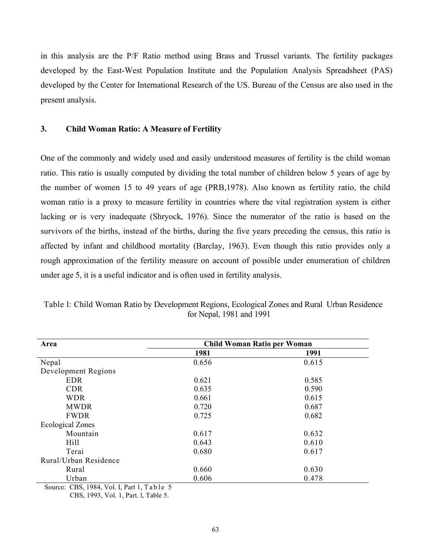in this analysis are the P/F Ratio method using Brass and Trussel variants. The fertility packages developed by the East-West Population Institute and the Population Analysis Spreadsheet (PAS) developed by the Center for International Research of the US. Bureau of the Census are also used in the present analysis.

#### 3. Child Woman Ratio: A Measure of Fertility

One of the commonly and widely used and easily understood measures of fertility is the child woman ratio. This ratio is usually computed by dividing the total number of children below 5 years of age by the number of women 15 to 49 years of age (PRB,1978). Also known as fertility ratio, the child woman ratio is a proxy to measure fertility in countries where the vital registration system is either lacking or is very inadequate (Shryock, 1976). Since the numerator of the ratio is based on the survivors of the births, instead of the births, during the five years preceding the census, this ratio is affected by infant and childhood mortality (Barclay, 1963). Even though this ratio provides only a rough approximation of the fertility measure on account of possible under enumeration of children under age 5, it is a useful indicator and is often used in fertility analysis.

| Area                        | <b>Child Woman Ratio per Woman</b> |       |  |  |  |
|-----------------------------|------------------------------------|-------|--|--|--|
|                             | 1981                               | 1991  |  |  |  |
| Nepal                       | 0.656                              | 0.615 |  |  |  |
| Development Regions         |                                    |       |  |  |  |
| <b>EDR</b>                  | 0.621                              | 0.585 |  |  |  |
| <b>CDR</b>                  | 0.635                              | 0.590 |  |  |  |
| <b>WDR</b>                  | 0.661                              | 0.615 |  |  |  |
| <b>MWDR</b>                 | 0.720                              | 0.687 |  |  |  |
| <b>FWDR</b>                 | 0.725                              | 0.682 |  |  |  |
| <b>Ecological Zones</b>     |                                    |       |  |  |  |
| Mountain                    | 0.617                              | 0.632 |  |  |  |
| Hill                        | 0.643                              | 0.610 |  |  |  |
| Terai                       | 0.680                              | 0.617 |  |  |  |
| Rural/Urban Residence       |                                    |       |  |  |  |
| Rural                       | 0.660                              | 0.630 |  |  |  |
| Urban                       | 0.606                              | 0.478 |  |  |  |
| $\sim$<br>CDG 1004 371 37.1 |                                    |       |  |  |  |

Table l: Child Woman Ratio by Development Regions, Ecological Zones and Rural Urban Residence for Nepal, 1981 and 1991

Source: CBS, 1984, Vol. I, Part 1, Table 5

CBS, 1993, Vol. 1, Part. l, Table 5.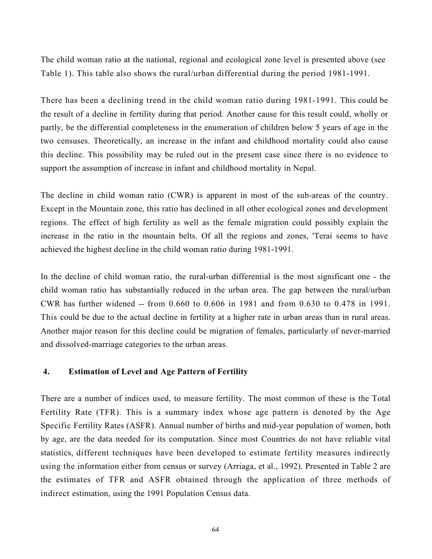The child woman ratio at the national, regional and ecological zone level is presented above (see Table 1). This table also shows the rural/urban differential during the period 1981-1991.

There has been a declining trend in the child woman ratio during 1981-1991. This could be the result of a decline in fertility during that period. Another cause for this result could, wholly or partly, be the differential completeness in the enumeration of children below 5 years of age in the two censuses. Theoretically, an increase in the infant and childhood mortality could also cause this decline. This possibility may be ruled out in the present case since there is no evidence to support the assumption of increase in infant and childhood mortality in Nepal.

The decline in child woman ratio (CWR) is apparent in most of the sub-areas of the country. Except in the Mountain zone, this ratio has declined in all other ecological zones and development regions. The effect of high fertility as well as the female migration could possibly explain the increase in the ratio in the mountain belts. Of all the regions and zones, 'Terai seems to have achieved the highest decline in the child woman ratio during 1981-1991.

In the decline of child woman ratio, the rural-urban differential is the most significant one - the child woman ratio has substantially reduced in the urban area. The gap between the rural/urban CWR has further widened -- from 0.660 to 0.606 in 1981 and from 0.630 to 0.478 in 1991. This could be due to the actual decline in fertility at a higher rate in urban areas than in rural areas. Another major reason for this decline could be migration of females, particularly of never-married and dissolved-marriage categories to the urban areas.

#### 4. Estimation of Level and Age Pattern of Fertility

There are a number of indices used, to measure fertility. The most common of these is the Total Fertility Rate (TFR). This is a summary index whose age pattern is denoted by the Age Specific Fertility Rates (ASFR). Annual number of births and mid-year population of women, both by age, are the data needed for its computation. Since most Countries do not have reliable vital statistics, different techniques have been developed to estimate fertility measures indirectly using the information either from census or survey (Arriaga, et al., 1992). Presented in Table 2 are the estimates of TFR and ASFR obtained through the application of three methods of indirect estimation, using the 1991 Population Census data.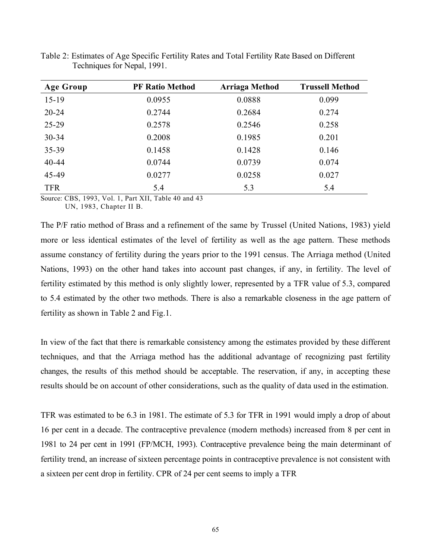| <b>Age Group</b> | <b>PF Ratio Method</b> | <b>Arriaga Method</b> | <b>Trussell Method</b> |
|------------------|------------------------|-----------------------|------------------------|
| $15-19$          | 0.0955                 | 0.0888                | 0.099                  |
| $20 - 24$        | 0.2744                 | 0.2684                | 0.274                  |
| $25 - 29$        | 0.2578                 | 0.2546                | 0.258                  |
| $30 - 34$        | 0.2008                 | 0.1985                | 0.201                  |
| $35 - 39$        | 0.1458                 | 0.1428                | 0.146                  |
| $40 - 44$        | 0.0744                 | 0.0739                | 0.074                  |
| 45-49            | 0.0277                 | 0.0258                | 0.027                  |
| <b>TFR</b>       | 5.4                    | 5.3                   | 5.4                    |

Table 2: Estimates of Age Specific Fertility Rates and Total Fertility Rate Based on Different Techniques for Nepal, 1991.

Source: CBS, 1993, Vol. 1, Part XII, Table 40 and 43 UN, 1983, Chapter II B.

The P/F ratio method of Brass and a refinement of the same by Trussel (United Nations, 1983) yield more or less identical estimates of the level of fertility as well as the age pattern. These methods assume constancy of fertility during the years prior to the 1991 census. The Arriaga method (United Nations, 1993) on the other hand takes into account past changes, if any, in fertility. The level of fertility estimated by this method is only slightly lower, represented by a TFR value of 5.3, compared to 5.4 estimated by the other two methods. There is also a remarkable closeness in the age pattern of fertility as shown in Table 2 and Fig.1.

In view of the fact that there is remarkable consistency among the estimates provided by these different techniques, and that the Arriaga method has the additional advantage of recognizing past fertility changes, the results of this method should be acceptable. The reservation, if any, in accepting these results should be on account of other considerations, such as the quality of data used in the estimation.

TFR was estimated to be 6.3 in 1981. The estimate of 5.3 for TFR in 1991 would imply a drop of about 16 per cent in a decade. The contraceptive prevalence (modern methods) increased from 8 per cent in 1981 to 24 per cent in 1991 (FP/MCH, 1993). Contraceptive prevalence being the main determinant of fertility trend, an increase of sixteen percentage points in contraceptive prevalence is not consistent with a sixteen per cent drop in fertility. CPR of 24 per cent seems to imply a TFR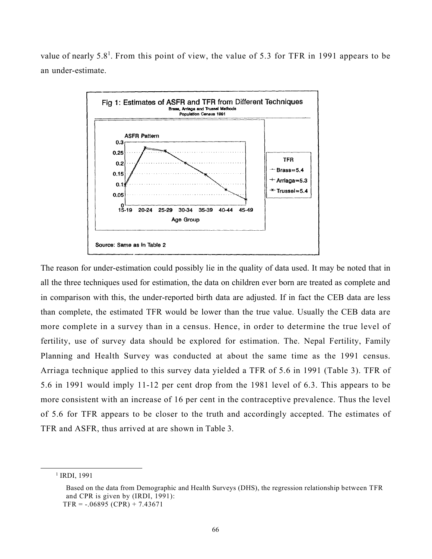value of nearly 5.8<sup>1</sup>. From this point of view, the value of 5.3 for TFR in 1991 appears to be an under-estimate.



The reason for under-estimation could possibly lie in the quality of data used. It may be noted that in all the three techniques used for estimation, the data on children ever born are treated as complete and in comparison with this, the under-reported birth data are adjusted. If in fact the CEB data are less than complete, the estimated TFR would be lower than the true value. Usually the CEB data are more complete in a survey than in a census. Hence, in order to determine the true level of fertility, use of survey data should be explored for estimation. The. Nepal Fertility, Family Planning and Health Survey was conducted at about the same time as the 1991 census. Arriaga technique applied to this survey data yielded a TFR of 5.6 in 1991 (Table 3). TFR of 5.6 in 1991 would imply 11-12 per cent drop from the 1981 level of 6.3. This appears to be more consistent with an increase of 16 per cent in the contraceptive prevalence. Thus the level of 5.6 for TFR appears to be closer to the truth and accordingly accepted. The estimates of TFR and ASFR, thus arrived at are shown in Table 3.

<sup>1</sup> IRDI, 1991

Based on the data from Demographic and Health Surveys (DHS), the regression relationship between TFR and CPR is given by (IRDI, 1991):  $TFR = -.06895 (CPR) + 7.43671$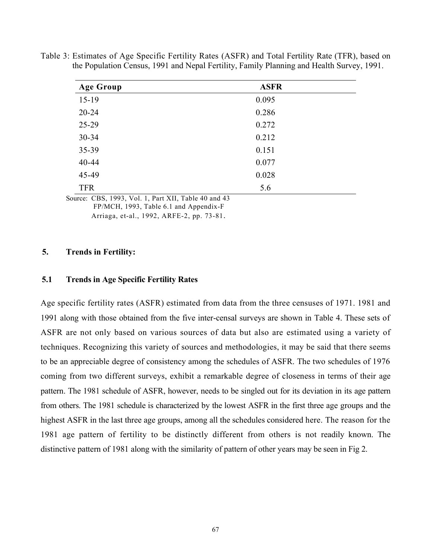| <b>Age Group</b>             | <b>ASFR</b>              |
|------------------------------|--------------------------|
| $15-19$                      | 0.095                    |
| $20 - 24$                    | 0.286                    |
| 25-29                        | 0.272                    |
| 30-34                        | 0.212                    |
| 35-39                        | 0.151                    |
| 40-44                        | 0.077                    |
| 45-49                        | 0.028                    |
| <b>TFR</b><br>-------------- | 5.6<br>____ _ _ _ _<br>. |

Table 3: Estimates of Age Specific Fertility Rates (ASFR) and Total Fertility Rate (TFR), based on the Population Census, 1991 and Nepal Fertility, Family Planning and Health Survey, 1991.

Source: CBS, 1993, Vol. 1, Part XII, Table 40 and 43 FP/MCH, 1993, Table 6.1 and Appendix-F Arriaga, et-al., 1992, ARFE-2, pp. 73-81.

#### 5. Trends in Fertility:

### 5.1 Trends in Age Specific Fertility Rates

Age specific fertility rates (ASFR) estimated from data from the three censuses of 1971. 1981 and 1991 along with those obtained from the five inter-censal surveys are shown in Table 4. These sets of ASFR are not only based on various sources of data but also are estimated using a variety of techniques. Recognizing this variety of sources and methodologies, it may be said that there seems to be an appreciable degree of consistency among the schedules of ASFR. The two schedules of 1976 coming from two different surveys, exhibit a remarkable degree of closeness in terms of their age pattern. The 1981 schedule of ASFR, however, needs to be singled out for its deviation in its age pattern from others. The 1981 schedule is characterized by the lowest ASFR in the first three age groups and the highest ASFR in the last three age groups, among all the schedules considered here. The reason for the 1981 age pattern of fertility to be distinctly different from others is not readily known. The distinctive pattern of 1981 along with the similarity of pattern of other years may be seen in Fig 2.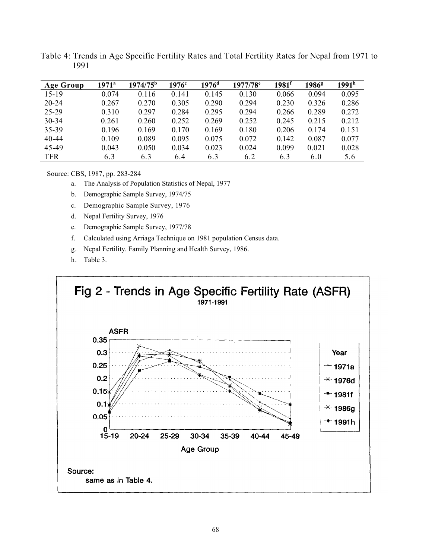| <b>Age Group</b> | $1971^{\circ}$ | 1974/75 <sup>b</sup> | $1976^{\circ}$ | $1976$ <sup>d</sup> | $1977/78$ <sup>e</sup> | $1981$ <sup>f</sup> | 1986 <sup>g</sup> | 1991 <sup>h</sup> |
|------------------|----------------|----------------------|----------------|---------------------|------------------------|---------------------|-------------------|-------------------|
| $15-19$          | 0.074          | 0.116                | 0.141          | 0.145               | 0.130                  | 0.066               | 0.094             | 0.095             |
| $20 - 24$        | 0.267          | 0.270                | 0.305          | 0.290               | 0.294                  | 0.230               | 0.326             | 0.286             |
| 25-29            | 0.310          | 0.297                | 0.284          | 0.295               | 0.294                  | 0.266               | 0.289             | 0.272             |
| $30 - 34$        | 0.261          | 0.260                | 0.252          | 0.269               | 0.252                  | 0.245               | 0.215             | 0.212             |
| 35-39            | 0.196          | 0.169                | 0.170          | 0.169               | 0.180                  | 0.206               | 0.174             | 0.151             |
| $40 - 44$        | 0.109          | 0.089                | 0.095          | 0.075               | 0.072                  | 0.142               | 0.087             | 0.077             |
| 45-49            | 0.043          | 0.050                | 0.034          | 0.023               | 0.024                  | 0.099               | 0.021             | 0.028             |
| <b>TFR</b>       | 6.3            | 6.3                  | 6.4            | 6.3                 | 6.2                    | 6.3                 | 6.0               | 5.6               |

Table 4: Trends in Age Specific Fertility Rates and Total Fertility Rates for Nepal from 1971 to 1991

Source: CBS, 1987, pp. 283-284

- a. The Analysis of Population Statistics of Nepal, 1977
- b. Demographic Sample Survey, 1974/75
- c. Demographic Sample Survey, 1976
- d. Nepal Fertility Survey, 1976
- e. Demographic Sample Survey, 1977/78
- f. Calculated using Arriaga Technique on 1981 population Census data.
- g. Nepal Fertility. Family Planning and Health Survey, 1986.
- h. Table 3.

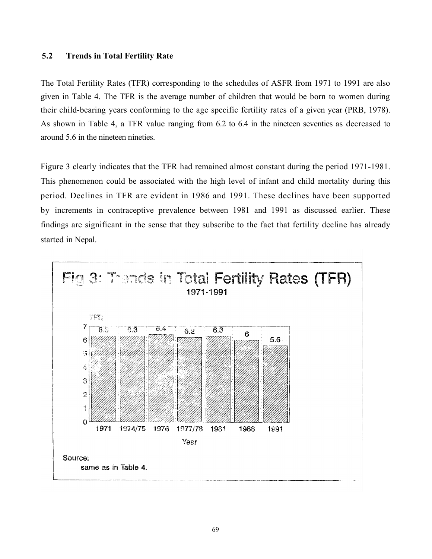### 5.2 Trends in Total Fertility Rate

The Total Fertility Rates (TFR) corresponding to the schedules of ASFR from 1971 to 1991 are also given in Table 4. The TFR is the average number of children that would be born to women during their child-bearing years conforming to the age specific fertility rates of a given year (PRB, 1978). As shown in Table 4, a TFR value ranging from 6.2 to 6.4 in the nineteen seventies as decreased to around 5.6 in the nineteen nineties.

Figure 3 clearly indicates that the TFR had remained almost constant during the period 1971-1981. This phenomenon could be associated with the high level of infant and child mortality during this period. Declines in TFR are evident in 1986 and 1991. These declines have been supported by increments in contraceptive prevalence between 1981 and 1991 as discussed earlier. These findings are significant in the sense that they subscribe to the fact that fertility decline has already started in Nepal.

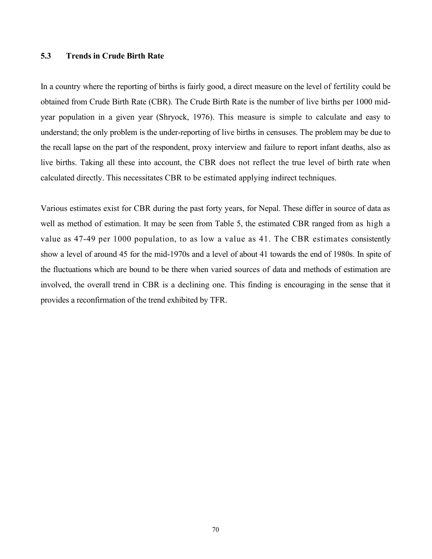### 5.3 Trends in Crude Birth Rate

In a country where the reporting of births is fairly good, a direct measure on the level of fertility could be obtained from Crude Birth Rate (CBR). The Crude Birth Rate is the number of live births per 1000 midyear population in a given year (Shryock, 1976). This measure is simple to calculate and easy to understand; the only problem is the under-reporting of live births in censuses. The problem may be due to the recall lapse on the part of the respondent, proxy interview and failure to report infant deaths, also as live births. Taking all these into account, the CBR does not reflect the true level of birth rate when calculated directly. This necessitates CBR to be estimated applying indirect techniques.

Various estimates exist for CBR during the past forty years, for Nepal. These differ in source of data as well as method of estimation. It may be seen from Table 5, the estimated CBR ranged from as high a value as 47-49 per 1000 population, to as low a value as 41. The CBR estimates consistently show a level of around 45 for the mid-1970s and a level of about 41 towards the end of 1980s. In spite of the fluctuations which are bound to be there when varied sources of data and methods of estimation are involved, the overall trend in CBR is a declining one. This finding is encouraging in the sense that it provides a reconfirmation of the trend exhibited by TFR.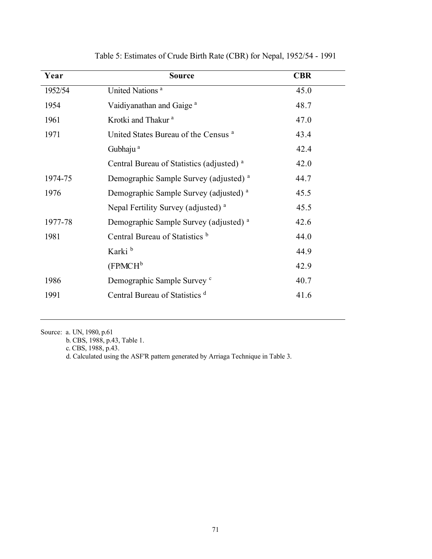| Year    | <b>Source</b>                                        | <b>CBR</b> |
|---------|------------------------------------------------------|------------|
| 1952/54 | United Nations <sup>a</sup>                          | 45.0       |
| 1954    | Vaidiyanathan and Gaige <sup>a</sup>                 | 48.7       |
| 1961    | Krotki and Thakur <sup>a</sup>                       | 47.0       |
| 1971    | United States Bureau of the Census <sup>a</sup>      | 43.4       |
|         | Gubhaju <sup>a</sup>                                 | 42.4       |
|         | Central Bureau of Statistics (adjusted) <sup>a</sup> | 42.0       |
| 1974-75 | Demographic Sample Survey (adjusted) <sup>a</sup>    | 44.7       |
| 1976    | Demographic Sample Survey (adjusted) <sup>a</sup>    | 45.5       |
|         | Nepal Fertility Survey (adjusted) <sup>a</sup>       | 45.5       |
| 1977-78 | Demographic Sample Survey (adjusted) <sup>a</sup>    | 42.6       |
| 1981    | Central Bureau of Statistics b                       | 44.0       |
|         | Karki <sup>b</sup>                                   | 44.9       |
|         | $(FP/MCH^b)$                                         | 42.9       |
| 1986    | Demographic Sample Survey c                          | 40.7       |
| 1991    | Central Bureau of Statistics <sup>d</sup>            | 41.6       |

Table 5: Estimates of Crude Birth Rate (CBR) for Nepal, 1952/54 - 1991

Source: a. UN, 1980, p.61

b. CBS, 1988, p.43, Table 1.

c. CBS, 1988, p.43.

d. Calculated using the ASF'R pattern generated by Arriaga Technique in Table 3.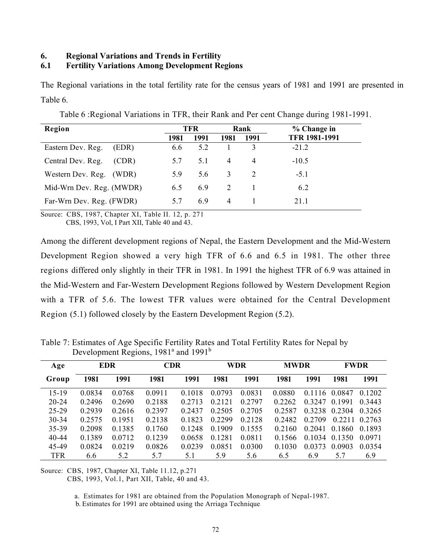# 6. Regional Variations and Trends in Fertility

## 6.1 Fertility Variations Among Development Regions

The Regional variations in the total fertility rate for the census years of 1981 and 1991 are presented in Table 6.

| Region                     | TFR. |      | Rank |                | % Change in          |
|----------------------------|------|------|------|----------------|----------------------|
|                            | 1981 | 1991 | 1981 | 1991           | <b>TFR 1981-1991</b> |
| Eastern Dev. Reg.<br>(EDR) | 6.6  | 5.2  |      |                | $-21.2$              |
| Central Dev. Reg.<br>(CDR) | 5.7  | 5.1  | 4    | $\overline{4}$ | $-10.5$              |
| Western Dev. Reg.<br>(WDR) | 5.9  | 5.6  | 3    | 2              | $-5.1$               |
| Mid-Wrn Dev. Reg. (MWDR)   | 6.5  | 6.9  | 2    |                | 6.2                  |
| Far-Wrn Dev. Reg. (FWDR)   | 5.7  | 6.9  | 4    |                | 21.1                 |

Table 6 :Regional Variations in TFR, their Rank and Per cent Change during 1981-1991.

Source: CBS, 1987, Chapter XI, Table II. 12, p. 271

CBS, 1993, Vol, I Part XII, Table 40 and 43.

Among the different development regions of Nepal, the Eastern Development and the Mid-Western Development Region showed a very high TFR of 6.6 and 6.5 in 1981. The other three regions differed only slightly in their TFR in 1981. In 1991 the highest TFR of 6.9 was attained in the Mid-Western and Far-Western Development Regions followed by Western Development Region with a TFR of 5.6. The lowest TFR values were obtained for the Central Development Region (5.1) followed closely by the Eastern Development Region (5.2).

| Table 7: Estimates of Age Specific Fertility Rates and Total Fertility Rates for Nepal by |  |
|-------------------------------------------------------------------------------------------|--|
| Development Regions, $1981^{\circ}$ and $1991^{\circ}$                                    |  |

| Age        |        | <b>EDR</b> | <b>CDR</b> |        |        | <b>WDR</b> | <b>MWDR</b> |        | <b>FWDR</b> |        |
|------------|--------|------------|------------|--------|--------|------------|-------------|--------|-------------|--------|
| Group      | 1981   | 1991       | 1981       | 1991   | 1981   | 1991       | 1981        | 1991   | 1981        | 1991   |
| $15-19$    | 0.0834 | 0.0768     | 0.0911     | 0.1018 | 0.0793 | 0.0831     | 0.0880      | 0.1116 | 0.0847      | 0.1202 |
| $20 - 24$  | 0.2496 | 0.2690     | 0.2188     | 0.2713 | 0.2121 | 0.2797     | 0.2262      | 0.3247 | 0.1991      | 0.3443 |
| 25-29      | 0.2939 | 0.2616     | 0.2397     | 0.2437 | 0.2505 | 0.2705     | 0.2587      | 0.3238 | 0.2304      | 0.3265 |
| 30-34      | 0.2575 | 0.1951     | 0.2138     | 0.1823 | 0.2299 | 0.2128     | 0.2482      | 0.2709 | 0.2211      | 0.2763 |
| $35 - 39$  | 0.2098 | 0.1385     | 0.1760     | 0.1248 | 0.1909 | 0.1555     | 0.2160      | 0.2041 | 0.1860      | 0.1893 |
| $40 - 44$  | 0.1389 | 0.0712     | 0.1239     | 0.0658 | 0.1281 | 0.0811     | 0.1566      | 0.1034 | 0.1350      | 0.0971 |
| 45-49      | 0.0824 | 0.0219     | 0.0826     | 0.0239 | 0.0851 | 0.0300     | 0.1030      | 0.0373 | 0.0903      | 0.0354 |
| <b>TFR</b> | 6.6    | 5.2        | 5.7        | 5.1    | 5.9    | 5.6        | 6.5         | 6.9    | 5.7         | 6.9    |

Source: CBS, 1987, Chapter XI, Table 11.12, p.271

CBS, 1993, Vol.1, Part XII, Table, 40 and 43.

a. Estimates for 1981 are obtained from the Population Monograph of Nepal-1987.

b. Estimates for 1991 are obtained using the Arriaga Technique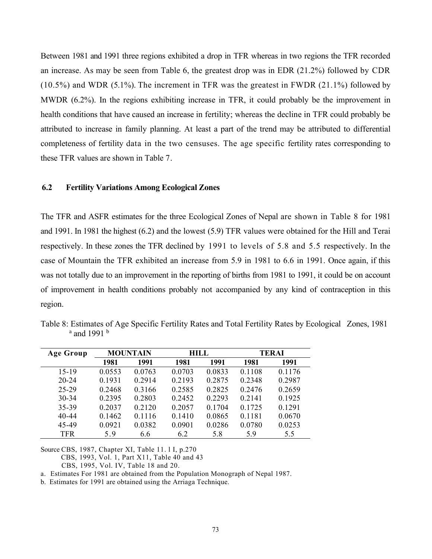Between 1981 and 1991 three regions exhibited a drop in TFR whereas in two regions the TFR recorded an increase. As may be seen from Table 6, the greatest drop was in EDR (21.2%) followed by CDR (10.5%) and WDR (5.1%). The increment in TFR was the greatest in FWDR (21.1%) followed by MWDR (6.2%). In the regions exhibiting increase in TFR, it could probably be the improvement in health conditions that have caused an increase in fertility; whereas the decline in TFR could probably be attributed to increase in family planning. At least a part of the trend may be attributed to differential completeness of fertility data in the two censuses. The age specific fertility rates corresponding to these TFR values are shown in Table 7.

### 6.2 Fertility Variations Among Ecological Zones

The TFR and ASFR estimates for the three Ecological Zones of Nepal are shown in Table 8 for 1981 and 1991. In 1981 the highest (6.2) and the lowest (5.9) TFR values were obtained for the Hill and Terai respectively. In these zones the TFR declined by 1991 to levels of 5.8 and 5.5 respectively. In the case of Mountain the TFR exhibited an increase from 5.9 in 1981 to 6.6 in 1991. Once again, if this was not totally due to an improvement in the reporting of births from 1981 to 1991, it could be on account of improvement in health conditions probably not accompanied by any kind of contraception in this region.

Table 8: Estimates of Age Specific Fertility Rates and Total Fertility Rates by Ecological Zones, 1981 <sup>a</sup> and 1991<sup>b</sup>

| <b>Age Group</b> | <b>MOUNTAIN</b> |        |        | <b>HILL</b> |        | <b>TERAI</b> |  |
|------------------|-----------------|--------|--------|-------------|--------|--------------|--|
|                  | 1981            | 1991   | 1981   | 1991        | 1981   | 1991         |  |
| $15 - 19$        | 0.0553          | 0.0763 | 0.0703 | 0.0833      | 0.1108 | 0.1176       |  |
| $20 - 24$        | 0.1931          | 0.2914 | 0.2193 | 0.2875      | 0.2348 | 0.2987       |  |
| 25-29            | 0.2468          | 0.3166 | 0.2585 | 0.2825      | 0.2476 | 0.2659       |  |
| $30 - 34$        | 0.2395          | 0.2803 | 0.2452 | 0.2293      | 0.2141 | 0.1925       |  |
| 35-39            | 0.2037          | 0.2120 | 0.2057 | 0.1704      | 0.1725 | 0.1291       |  |
| $40 - 44$        | 0.1462          | 0.1116 | 0.1410 | 0.0865      | 0.1181 | 0.0670       |  |
| 45-49            | 0.0921          | 0.0382 | 0.0901 | 0.0286      | 0.0780 | 0.0253       |  |
| <b>TFR</b>       | 5.9             | 6.6    | 6.2    | 5.8         | 5.9    | 5.5          |  |

Source CBS, 1987, Chapter XI, Table 11. l I, p.270

CBS, 1993, Vol. 1, Part X11, Table 40 and 43

CBS, 1995, Vol. IV, Table 18 and 20.

a. Estimates For 1981 are obtained from the Population Monograph of Nepal 1987.

b. Estimates for 1991 are obtained using the Arriaga Technique.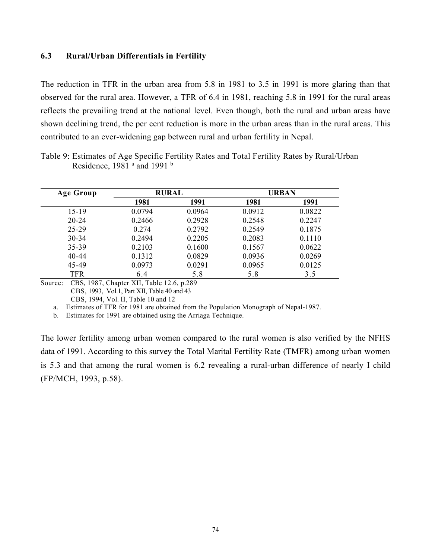### 6.3 Rural/Urban Differentials in Fertility

The reduction in TFR in the urban area from 5.8 in 1981 to 3.5 in 1991 is more glaring than that observed for the rural area. However, a TFR of 6.4 in 1981, reaching 5.8 in 1991 for the rural areas reflects the prevailing trend at the national level. Even though, both the rural and urban areas have shown declining trend, the per cent reduction is more in the urban areas than in the rural areas. This contributed to an ever-widening gap between rural and urban fertility in Nepal.

| Age Group  |        | <b>RURAL</b> |        | URBAN  |
|------------|--------|--------------|--------|--------|
|            | 1981   | 1991         | 1981   | 1991   |
| $15-19$    | 0.0794 | 0.0964       | 0.0912 | 0.0822 |
| $20 - 24$  | 0.2466 | 0.2928       | 0.2548 | 0.2247 |
| $25 - 29$  | 0.274  | 0.2792       | 0.2549 | 0.1875 |
| $30 - 34$  | 0.2494 | 0.2205       | 0.2083 | 0.1110 |
| 35-39      | 0.2103 | 0.1600       | 0.1567 | 0.0622 |
| $40 - 44$  | 0.1312 | 0.0829       | 0.0936 | 0.0269 |
| 45-49      | 0.0973 | 0.0291       | 0.0965 | 0.0125 |
| <b>TFR</b> | 6.4    | 5.8          | 5.8    | 3.5    |

Table 9: Estimates of Age Specific Fertility Rates and Total Fertility Rates by Rural/Urban Residence, 1981  $^{\circ}$  and 1991  $^{\circ}$ 

Source: CBS, 1987, Chapter XII, Table 12.6, p.289 CBS, 1993, Vol.1, Part XII, Table 40 and 43 CBS, 1994, Vol. II, Table 10 and 12

a. Estimates of TFR for 1981 are obtained from the Population Monograph of Nepal-1987.

b. Estimates for 1991 are obtained using the Arriaga Technique.

The lower fertility among urban women compared to the rural women is also verified by the NFHS data of 1991. According to this survey the Total Marital Fertility Rate (TMFR) among urban women is 5.3 and that among the rural women is 6.2 revealing a rural-urban difference of nearly I child (FP/MCH, 1993, p.58).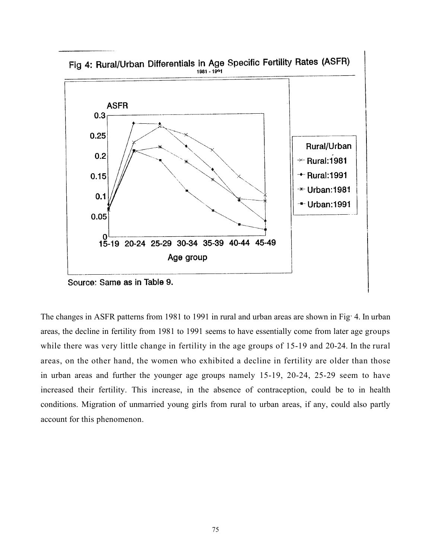

Fig 4: Rural/Urban Differentials in Age Specific Fertility Rates (ASFR)

Source: Same as in Table 9.

The changes in ASFR patterns from 1981 to 1991 in rural and urban areas are shown in Fig<sup>,</sup> 4. In urban areas, the decline in fertility from 1981 to 1991 seems to have essentially come from later age groups while there was very little change in fertility in the age groups of 15-19 and 20-24. In the rural areas, on the other hand, the women who exhibited a decline in fertility are older than those in urban areas and further the younger age groups namely 15-19, 20-24, 25-29 seem to have increased their fertility. This increase, in the absence of contraception, could be to in health conditions. Migration of unmarried young girls from rural to urban areas, if any, could also partly account for this phenomenon.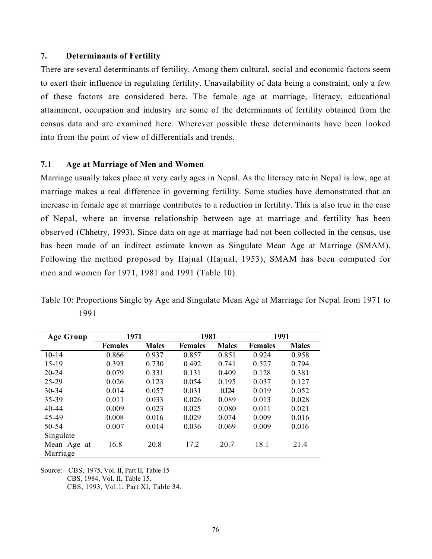## 7. Determinants of Fertility

There are several determinants of fertility. Among them cultural, social and economic factors seem to exert their influence in regulating fertility. Unavailability of data being a constraint, only a few of these factors are considered here. The female age at marriage, literacy, educational attainment, occupation and industry are some of the determinants of fertility obtained from the census data and are examined here. Wherever possible these determinants have been looked into from the point of view of differentials and trends.

#### 7.1 Age at Marriage of Men and Women

Marriage usually takes place at very early ages in Nepal. As the literacy rate in Nepal is low, age at marriage makes a real difference in governing fertility. Some studies have demonstrated that an increase in female age at marriage contributes to a reduction in fertility. This is also true in the case of Nepal, where an inverse relationship between age at marriage and fertility has been observed (Chhetry, 1993). Since data on age at marriage had not been collected in the census, use has been made of an indirect estimate known as Singulate Mean Age at Marriage (SMAM). Following the method proposed by Hajnal (Hajnal, 1953), SMAM has been computed for men and women for 1971, 1981 and 1991 (Table 10).

Table 10: Proportions Single by Age and Singulate Mean Age at Marriage for Nepal from 1971 to 1991

| Age Group   | 1971           |              | 1981           |              | 1991           |              |
|-------------|----------------|--------------|----------------|--------------|----------------|--------------|
|             | <b>Females</b> | <b>Males</b> | <b>Females</b> | <b>Males</b> | <b>Females</b> | <b>Males</b> |
| $10-14$     | 0.866          | 0.937        | 0.857          | 0.851        | 0.924          | 0.958        |
| $15-19$     | 0.393          | 0.730        | 0.492          | 0.741        | 0.527          | 0.794        |
| $20 - 24$   | 0.079          | 0.331        | 0.131          | 0.409        | 0.128          | 0.381        |
| $25 - 29$   | 0.026          | 0.123        | 0.054          | 0.195        | 0.037          | 0.127        |
| 30-34       | 0.014          | 0.057        | 0.031          | 0.124        | 0.019          | 0.052        |
| $35 - 39$   | 0.011          | 0.033        | 0.026          | 0.089        | 0.013          | 0.028        |
| $40 - 44$   | 0.009          | 0.023        | 0.025          | 0.080        | 0.011          | 0.021        |
| 45-49       | 0.008          | 0.016        | 0.029          | 0.074        | 0.009          | 0.016        |
| $50 - 54$   | 0.007          | 0.014        | 0.036          | 0.069        | 0.009          | 0.016        |
| Singulate   |                |              |                |              |                |              |
| Mean Age at | 16.8           | 20.8         | 17.2           | 20.7         | 18.1           | 21.4         |
| Marriage    |                |              |                |              |                |              |

Source:- CBS, 1975, Vol. II, Part II, Table 15

CBS, 1984, Vol. II, Table 15.

CBS, 1993, Vol.1, Part XI, Table 34.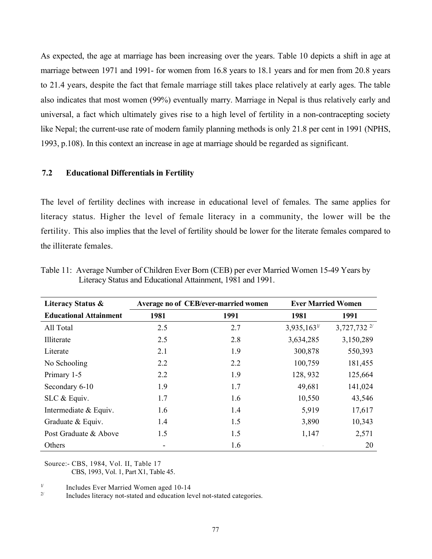As expected, the age at marriage has been increasing over the years. Table 10 depicts a shift in age at marriage between 1971 and 1991- for women from 16.8 years to 18.1 years and for men from 20.8 years to 21.4 years, despite the fact that female marriage still takes place relatively at early ages. The table also indicates that most women (99%) eventually marry. Marriage in Nepal is thus relatively early and universal, a fact which ultimately gives rise to a high level of fertility in a non-contracepting society like Nepal; the current-use rate of modern family planning methods is only 21.8 per cent in 1991 (NPHS, 1993, p.108). In this context an increase in age at marriage should be regarded as significant.

### 7.2 Educational Differentials in Fertility

The level of fertility declines with increase in educational level of females. The same applies for literacy status. Higher the level of female literacy in a community, the lower will be the fertility. This also implies that the level of fertility should be lower for the literate females compared to the illiterate females.

| Literacy Status &             | Average no of CEB/ever-married women |      | <b>Ever Married Women</b> |                    |
|-------------------------------|--------------------------------------|------|---------------------------|--------------------|
| <b>Educational Attainment</b> | 1981                                 | 1991 | 1981                      | 1991               |
| All Total                     | 2.5                                  | 2.7  | $3,935,163$ <sup>1/</sup> | 3,727,732 $^{2/2}$ |
| Illiterate                    | 2.5                                  | 2.8  | 3,634,285                 | 3,150,289          |
| Literate                      | 2.1                                  | 1.9  | 300,878                   | 550,393            |
| No Schooling                  | 2.2                                  | 2.2  | 100,759                   | 181,455            |
| Primary 1-5                   | 2.2                                  | 1.9  | 128, 932                  | 125,664            |
| Secondary 6-10                | 1.9                                  | 1.7  | 49,681                    | 141,024            |
| SLC & Equiv.                  | 1.7                                  | 1.6  | 10,550                    | 43,546             |
| Intermediate & Equiv.         | 1.6                                  | 1.4  | 5,919                     | 17,617             |
| Graduate & Equiv.             | 1.4                                  | 1.5  | 3,890                     | 10,343             |
| Post Graduate & Above         | 1.5                                  | 1.5  | 1,147                     | 2,571              |
| Others                        |                                      | 1.6  |                           | 20                 |

Table 11: Average Number of Children Ever Born (CEB) per ever Married Women 15-49 Years by Literacy Status and Educational Attainment, 1981 and 1991.

Source:- CBS, 1984, Vol. II, Table 17 CBS, 1993, Vol. 1, Part X1, Table 45.

 $\frac{1}{2}$  Includes Ever Married Women aged 10-14

Includes literacy not-stated and education level not-stated categories.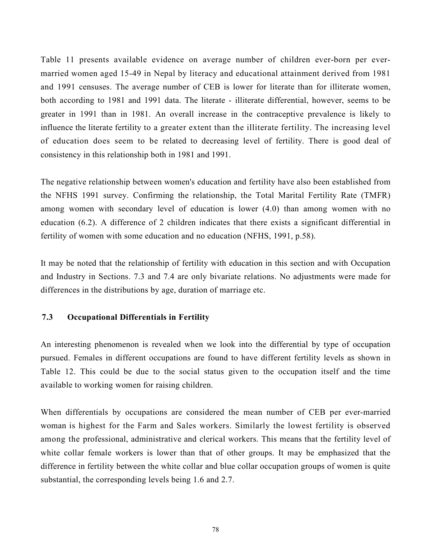Table 11 presents available evidence on average number of children ever-born per evermarried women aged 15-49 in Nepal by literacy and educational attainment derived from 1981 and 1991 censuses. The average number of CEB is lower for literate than for illiterate women, both according to 1981 and 1991 data. The literate - illiterate differential, however, seems to be greater in 1991 than in 1981. An overall increase in the contraceptive prevalence is likely to influence the literate fertility to a greater extent than the illiterate fertility. The increasing level of education does seem to be related to decreasing level of fertility. There is good deal of consistency in this relationship both in 1981 and 1991.

The negative relationship between women's education and fertility have also been established from the NFHS 1991 survey. Confirming the relationship, the Total Marital Fertility Rate (TMFR) among women with secondary level of education is lower (4.0) than among women with no education (6.2). A difference of 2 children indicates that there exists a significant differential in fertility of women with some education and no education (NFHS, 1991, p.58).

It may be noted that the relationship of fertility with education in this section and with Occupation and Industry in Sections. 7.3 and 7.4 are only bivariate relations. No adjustments were made for differences in the distributions by age, duration of marriage etc.

# 7.3 Occupational Differentials in Fertility

An interesting phenomenon is revealed when we look into the differential by type of occupation pursued. Females in different occupations are found to have different fertility levels as shown in Table 12. This could be due to the social status given to the occupation itself and the time available to working women for raising children.

When differentials by occupations are considered the mean number of CEB per ever-married woman is highest for the Farm and Sales workers. Similarly the lowest fertility is observed among the professional, administrative and clerical workers. This means that the fertility level of white collar female workers is lower than that of other groups. It may be emphasized that the difference in fertility between the white collar and blue collar occupation groups of women is quite substantial, the corresponding levels being 1.6 and 2.7.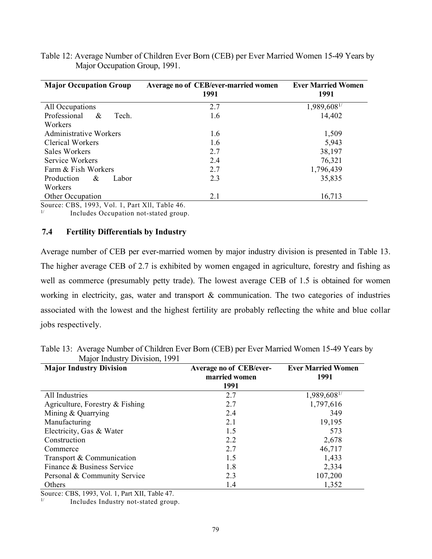| Table 12: Average Number of Children Ever Born (CEB) per Ever Married Women 15-49 Years by |  |
|--------------------------------------------------------------------------------------------|--|
| Major Occupation Group, 1991.                                                              |  |

| <b>Major Occupation Group</b> | Average no of CEB/ever-married women<br>1991 | <b>Ever Married Women</b><br>1991 |  |  |
|-------------------------------|----------------------------------------------|-----------------------------------|--|--|
| All Occupations               | 2.7                                          | 1,989,608 <sup>1/</sup>           |  |  |
| Professional<br>&<br>Tech.    | 1.6                                          | 14,402                            |  |  |
| Workers                       |                                              |                                   |  |  |
| <b>Administrative Workers</b> | 1.6                                          | 1,509                             |  |  |
| Clerical Workers              | 1.6                                          | 5,943                             |  |  |
| Sales Workers                 | 2.7                                          | 38,197                            |  |  |
| Service Workers               | 2.4                                          | 76,321                            |  |  |
| Farm & Fish Workers           | 2.7                                          | 1,796,439                         |  |  |
| Production<br>Labor<br>&      | 2.3                                          | 35,835                            |  |  |
| Workers                       |                                              |                                   |  |  |
| Other Occupation              | 2.1                                          | 16,713                            |  |  |

Source: CBS, 1993, Vol. 1, Part Xll, Table 46.

<sup>1/</sup> Includes Occupation not-stated group.

#### 7.4 Fertility Differentials by Industry

Average number of CEB per ever-married women by major industry division is presented in Table 13. The higher average CEB of 2.7 is exhibited by women engaged in agriculture, forestry and fishing as well as commerce (presumably petty trade). The lowest average CEB of 1.5 is obtained for women working in electricity, gas, water and transport & communication. The two categories of industries associated with the lowest and the highest fertility are probably reflecting the white and blue collar jobs respectively.

| Major Industry Division, 1991   |                                                         |                                   |
|---------------------------------|---------------------------------------------------------|-----------------------------------|
| <b>Major Industry Division</b>  | <b>Average no of CEB/ever-</b><br>married women<br>1991 | <b>Ever Married Women</b><br>1991 |
| All Industries                  | 2.7                                                     | 1,989,6081/                       |
| Agriculture, Forestry & Fishing | 2.7                                                     | 1,797,616                         |
| Mining & Quarrying              | 2.4                                                     | 349                               |
| Manufacturing                   | 2.1                                                     | 19,195                            |
| Electricity, Gas & Water        | 1.5                                                     | 573                               |
| Construction                    | 2.2                                                     | 2,678                             |
| Commerce                        | 2.7                                                     | 46,717                            |
| Transport & Communication       | 1.5                                                     | 1,433                             |
| Finance & Business Service      | 1.8                                                     | 2,334                             |
| Personal & Community Service    | 2.3                                                     | 107,200                           |
| Others                          | 1.4                                                     | 1,352                             |

Table 13: Average Number of Children Ever Born (CEB) per Ever Married Women 15-49 Years by  $\mathbf{D}$ ision

Source: CBS, 1993, Vol. 1, Part XII, Table 47.

Includes Industry not-stated group.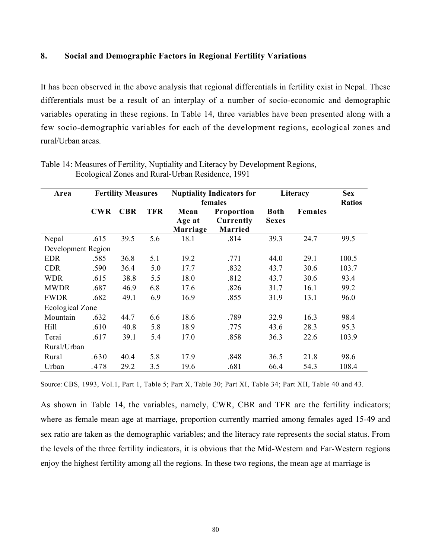### 8. Social and Demographic Factors in Regional Fertility Variations

It has been observed in the above analysis that regional differentials in fertility exist in Nepal. These differentials must be a result of an interplay of a number of socio-economic and demographic variables operating in these regions. In Table 14, three variables have been presented along with a few socio-demographic variables for each of the development regions, ecological zones and rural/Urban areas.

| Area               | <b>Fertility Measures</b> |            |            | <b>Nuptiality Indicators for</b><br>females |                                    | Literacy                    |                | <b>Sex</b><br><b>Ratios</b> |
|--------------------|---------------------------|------------|------------|---------------------------------------------|------------------------------------|-----------------------------|----------------|-----------------------------|
|                    | <b>CWR</b>                | <b>CBR</b> | <b>TFR</b> | Mean<br>Age at<br>Marriage                  | Proportion<br>Currently<br>Married | <b>Both</b><br><b>Sexes</b> | <b>Females</b> |                             |
| Nepal              | .615                      | 39.5       | 5.6        | 18.1                                        | .814                               | 39.3                        | 24.7           | 99.5                        |
| Development Region |                           |            |            |                                             |                                    |                             |                |                             |
| <b>EDR</b>         | .585                      | 36.8       | 5.1        | 19.2                                        | .771                               | 44.0                        | 29.1           | 100.5                       |
| <b>CDR</b>         | .590                      | 36.4       | 5.0        | 17.7                                        | .832                               | 43.7                        | 30.6           | 103.7                       |
| <b>WDR</b>         | .615                      | 38.8       | 5.5        | 18.0                                        | .812                               | 43.7                        | 30.6           | 93.4                        |
| <b>MWDR</b>        | .687                      | 46.9       | 6.8        | 17.6                                        | .826                               | 31.7                        | 16.1           | 99.2                        |
| <b>FWDR</b>        | .682                      | 49.1       | 6.9        | 16.9                                        | .855                               | 31.9                        | 13.1           | 96.0                        |
| Ecological Zone    |                           |            |            |                                             |                                    |                             |                |                             |
| Mountain           | .632                      | 44.7       | 6.6        | 18.6                                        | .789                               | 32.9                        | 16.3           | 98.4                        |
| Hill               | .610                      | 40.8       | 5.8        | 18.9                                        | .775                               | 43.6                        | 28.3           | 95.3                        |
| Terai              | .617                      | 39.1       | 5.4        | 17.0                                        | .858                               | 36.3                        | 22.6           | 103.9                       |
| Rural/Urban        |                           |            |            |                                             |                                    |                             |                |                             |
| Rural              | .630                      | 40.4       | 5.8        | 17.9                                        | .848                               | 36.5                        | 21.8           | 98.6                        |
| Urban              | .478                      | 29.2       | 3.5        | 19.6                                        | .681                               | 66.4                        | 54.3           | 108.4                       |

Table 14: Measures of Fertility, Nuptiality and Literacy by Development Regions, Ecological Zones and Rural-Urban Residence, 1991

Source: CBS, 1993, Vol.1, Part 1, Table 5; Part X, Table 30; Part XI, Table 34; Part XII, Table 40 and 43.

As shown in Table 14, the variables, namely, CWR, CBR and TFR are the fertility indicators; where as female mean age at marriage, proportion currently married among females aged 15-49 and sex ratio are taken as the demographic variables; and the literacy rate represents the social status. From the levels of the three fertility indicators, it is obvious that the Mid-Western and Far-Western regions enjoy the highest fertility among all the regions. In these two regions, the mean age at marriage is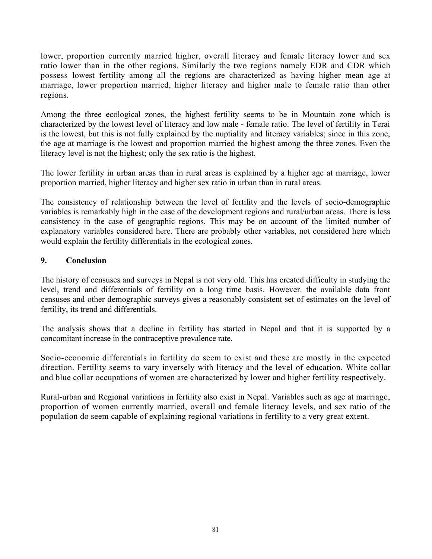lower, proportion currently married higher, overall literacy and female literacy lower and sex ratio lower than in the other regions. Similarly the two regions namely EDR and CDR which possess lowest fertility among all the regions are characterized as having higher mean age at marriage, lower proportion married, higher literacy and higher male to female ratio than other regions.

Among the three ecological zones, the highest fertility seems to be in Mountain zone which is characterized by the lowest level of literacy and low male - female ratio. The level of fertility in Terai is the lowest, but this is not fully explained by the nuptiality and literacy variables; since in this zone, the age at marriage is the lowest and proportion married the highest among the three zones. Even the literacy level is not the highest; only the sex ratio is the highest.

The lower fertility in urban areas than in rural areas is explained by a higher age at marriage, lower proportion married, higher literacy and higher sex ratio in urban than in rural areas.

The consistency of relationship between the level of fertility and the levels of socio-demographic variables is remarkably high in the case of the development regions and rural/urban areas. There is less consistency in the case of geographic regions. This may be on account of the limited number of explanatory variables considered here. There are probably other variables, not considered here which would explain the fertility differentials in the ecological zones.

# 9. Conclusion

The history of censuses and surveys in Nepal is not very old. This has created difficulty in studying the level, trend and differentials of fertility on a long time basis. However. the available data front censuses and other demographic surveys gives a reasonably consistent set of estimates on the level of fertility, its trend and differentials.

The analysis shows that a decline in fertility has started in Nepal and that it is supported by a concomitant increase in the contraceptive prevalence rate.

Socio-economic differentials in fertility do seem to exist and these are mostly in the expected direction. Fertility seems to vary inversely with literacy and the level of education. White collar and blue collar occupations of women are characterized by lower and higher fertility respectively.

Rural-urban and Regional variations in fertility also exist in Nepal. Variables such as age at marriage, proportion of women currently married, overall and female literacy levels, and sex ratio of the population do seem capable of explaining regional variations in fertility to a very great extent.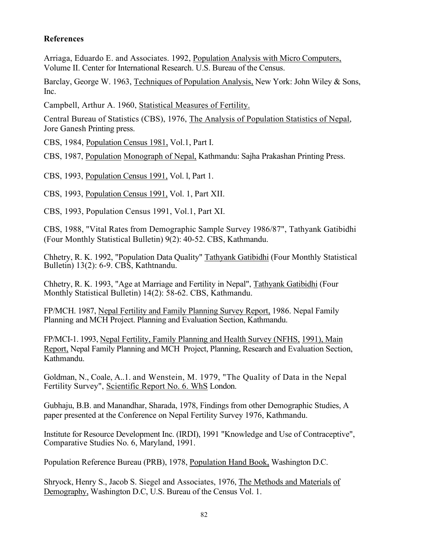# References

Arriaga, Eduardo E. and Associates. 1992, Population Analysis with Micro Computers, Volume II. Center for International Research. U.S. Bureau of the Census.

Barclay, George W. 1963, Techniques of Population Analysis, New York: John Wiley & Sons, Inc.

Campbell, Arthur A. 1960, Statistical Measures of Fertility.

Central Bureau of Statistics (CBS), 1976, The Analysis of Population Statistics of Nepal, Jore Ganesh Printing press.

CBS, 1984, Population Census 1981, Vol.1, Part I.

CBS, 1987, Population Monograph of Nepal, Kathmandu: Sajha Prakashan Printing Press.

CBS, 1993, Population Census 1991, Vol. l, Part 1.

CBS, 1993, Population Census 1991, Vol. 1, Part XII.

CBS, 1993, Population Census 1991, Vol.1, Part XI.

CBS, 1988, "Vital Rates from Demographic Sample Survey 1986/87", Tathyank Gatibidhi (Four Monthly Statistical Bulletin) 9(2): 40-52. CBS, Kathmandu.

Chhetry, R. K. 1992, "Population Data Quality" Tathyank Gatibidhi (Four Monthly Statistical Bulletin) 13(2): 6-9. CBS, Kathtnandu.

Chhetry, R. K. 1993, "Age at Marriage and Fertility in Nepal", Tathyank Gatibidhi (Four Monthly Statistical Bulletin) 14(2): 58-62. CBS, Kathmandu.

FP/MCH. 1987, Nepal Fertility and Family Planning Survey Report, 1986. Nepal Family Planning and MCH Project. Planning and Evaluation Section, Kathmandu.

FP/MCI-1. 1993, Nepal Fertility, Family Planning and Health Survey (NFHS, 1991), Main Report, Nepal Family Planning and MCH Project, Planning, Research and Evaluation Section, Kathmandu.

Goldman, N., Coale, A..1. and Wenstein, M. 1979, "The Quality of Data in the Nepal Fertility Survey", Scientific Report No. 6. WhS London.

Gubhaju, B.B. and Manandhar, Sharada, 1978, Findings from other Demographic Studies, A paper presented at the Conference on Nepal Fertility Survey 1976, Kathmandu.

Institute for Resource Development Inc. (IRDI), 1991 "Knowledge and Use of Contraceptive", Comparative Studies No. 6, Maryland, 1991.

Population Reference Bureau (PRB), 1978, Population Hand Book, Washington D.C.

Shryock, Henry S., Jacob S. Siegel and Associates, 1976, The Methods and Materials of Demography, Washington D.C, U.S. Bureau of the Census Vol. 1.